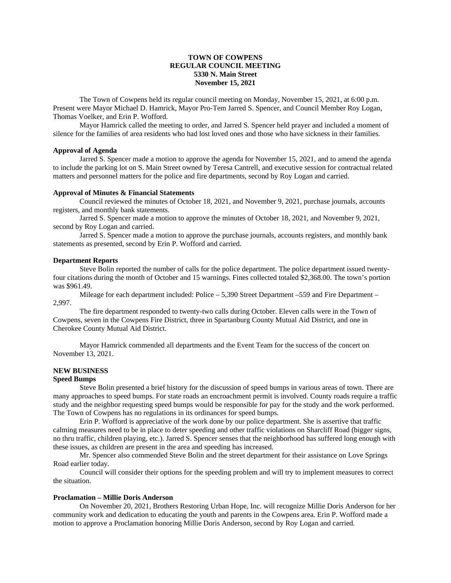## **TOWN OF COWPENS REGULAR COUNCIL MEETING 5330 N. Main Street November 15, 2021**

The Town of Cowpens held its regular council meeting on Monday, November 15, 2021, at 6:00 p.m. Present were Mayor Michael D. Hamrick, Mayor Pro-Tem Jarred S. Spencer, and Council Member Roy Logan, Thomas Voelker, and Erin P. Wofford.

Mayor Hamrick called the meeting to order, and Jarred S. Spencer held prayer and included a moment of silence for the families of area residents who had lost loved ones and those who have sickness in their families.

## **Approval of Agenda**

Jarred S. Spencer made a motion to approve the agenda for November 15, 2021, and to amend the agenda to include the parking lot on S. Main Street owned by Teresa Cantrell, and executive session for contractual related matters and personnel matters for the police and fire departments, second by Roy Logan and carried.

#### **Approval of Minutes & Financial Statements**

Council reviewed the minutes of October 18, 2021, and November 9, 2021, purchase journals, accounts registers, and monthly bank statements.

Jarred S. Spencer made a motion to approve the minutes of October 18, 2021, and November 9, 2021, second by Roy Logan and carried.

Jarred S. Spencer made a motion to approve the purchase journals, accounts registers, and monthly bank statements as presented, second by Erin P. Wofford and carried.

#### **Department Reports**

Steve Bolin reported the number of calls for the police department. The police department issued twentyfour citations during the month of October and 15 warnings. Fines collected totaled \$2,368.00. The town's portion was \$961.49.

Mileage for each department included: Police – 5,390 Street Department –559 and Fire Department – 2,997.

The fire department responded to twenty-two calls during October. Eleven calls were in the Town of Cowpens, seven in the Cowpens Fire District, three in Spartanburg County Mutual Aid District, and one in Cherokee County Mutual Aid District.

Mayor Hamrick commended all departments and the Event Team for the success of the concert on November 13, 2021.

# **NEW BUSINESS**

### **Speed Bumps**

Steve Bolin presented a brief history for the discussion of speed bumps in various areas of town. There are many approaches to speed bumps. For state roads an encroachment permit is involved. County roads require a traffic study and the neighbor requesting speed bumps would be responsible for pay for the study and the work performed. The Town of Cowpens has no regulations in its ordinances for speed bumps.

Erin P. Wofford is appreciative of the work done by our police department. She is assertive that traffic calming measures need to be in place to deter speeding and other traffic violations on Sharcliff Road (bigger signs, no thru traffic, children playing, etc.). Jarred S. Spencer senses that the neighborhood has suffered long enough with these issues, as children are present in the area and speeding has increased.

Mr. Spencer also commended Steve Bolin and the street department for their assistance on Love Springs Road earlier today.

Council will consider their options for the speeding problem and will try to implement measures to correct the situation.

## **Proclamation – Millie Doris Anderson**

On November 20, 2021, Brothers Restoring Urban Hope, Inc. will recognize Millie Doris Anderson for her community work and dedication to educating the youth and parents in the Cowpens area. Erin P. Wofford made a motion to approve a Proclamation honoring Millie Doris Anderson, second by Roy Logan and carried.